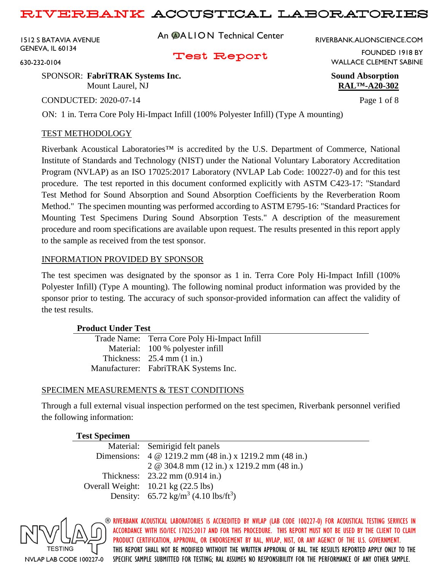1512 S BATAVIA AVENUE GENEVA, IL 60134

630-232-0104

An **@ALION** Technical Center

RIVERBANK.ALIONSCIENCE.COM

## Test Report

SPONSOR: **FabriTRAK Systems Inc. Sound Absorption** WALLACE CLEMENT SABINE

Mount Laurel, NJ **RAL™-A20-302**

CONDUCTED: 2020-07-14 Page 1 of 8

FOUNDED 1918 BY

ON: 1 in. Terra Core Poly Hi-Impact Infill (100% Polyester Infill) (Type A mounting)

### TEST METHODOLOGY

Riverbank Acoustical Laboratories™ is accredited by the U.S. Department of Commerce, National Institute of Standards and Technology (NIST) under the National Voluntary Laboratory Accreditation Program (NVLAP) as an ISO 17025:2017 Laboratory (NVLAP Lab Code: 100227-0) and for this test procedure. The test reported in this document conformed explicitly with ASTM C423-17: "Standard Test Method for Sound Absorption and Sound Absorption Coefficients by the Reverberation Room Method." The specimen mounting was performed according to ASTM E795-16: "Standard Practices for Mounting Test Specimens During Sound Absorption Tests." A description of the measurement procedure and room specifications are available upon request. The results presented in this report apply to the sample as received from the test sponsor.

#### INFORMATION PROVIDED BY SPONSOR

The test specimen was designated by the sponsor as 1 in. Terra Core Poly Hi-Impact Infill (100% Polyester Infill) (Type A mounting). The following nominal product information was provided by the sponsor prior to testing. The accuracy of such sponsor-provided information can affect the validity of the test results.

#### **Product Under Test**

| Trade Name: Terra Core Poly Hi-Impact Infill |
|----------------------------------------------|
| Material: 100 % polyester infill             |
| Thickness: $25.4$ mm $(1 \text{ in.})$       |
| Manufacturer: FabriTRAK Systems Inc.         |

## SPECIMEN MEASUREMENTS & TEST CONDITIONS

Through a full external visual inspection performed on the test specimen, Riverbank personnel verified the following information:

| <b>fest Specimen</b> |
|----------------------|
|----------------------|

| Material: Semirigid felt panels                                    |
|--------------------------------------------------------------------|
| Dimensions: $4 \text{ } @$ 1219.2 mm (48 in.) x 1219.2 mm (48 in.) |
| 2 @ 304.8 mm (12 in.) x 1219.2 mm (48 in.)                         |
| Thickness: $23.22 \text{ mm} (0.914 \text{ in.})$                  |
| Overall Weight: $10.21 \text{ kg} (22.5 \text{ lbs})$              |
| Density: $65.72 \text{ kg/m}^3 (4.10 \text{ lbs/ft}^3)$            |

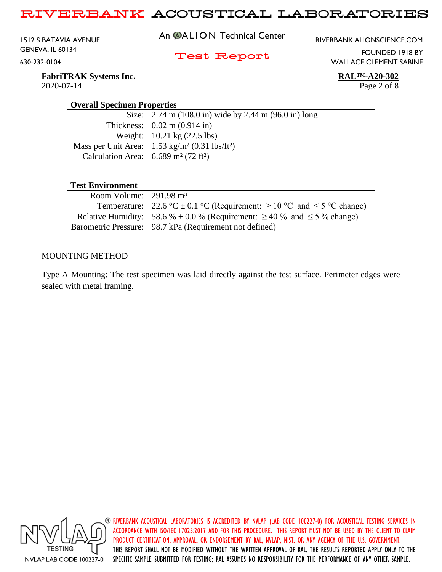1512 S BATAVIA AVENUE GENEVA, IL 60134 630-232-0104

An **@ALION** Technical Center

RIVERBANK.ALIONSCIENCE.COM

## Test Report

WALLACE CLEMENT SABINE

**FabriTRAK Systems Inc. RAL™-A20-302** 2020-07-14 Page 2 of 8

FOUNDED 1918 BY

### **Overall Specimen Properties**

| Size: $2.74 \text{ m}$ (108.0 in) wide by 2.44 m (96.0 in) long   |
|-------------------------------------------------------------------|
| Thickness: $0.02 \text{ m} (0.914 \text{ in})$                    |
| Weight: $10.21 \text{ kg} (22.5 \text{ lbs})$                     |
| Mass per Unit Area: $1.53 \text{ kg/m}^2 (0.31 \text{ lbs/ft}^2)$ |
| Calculation Area: $6.689$ m <sup>2</sup> (72 ft <sup>2</sup> )    |
|                                                                   |

### **Test Environment**

| Room Volume: $291.98 \text{ m}^3$ |                                                                                        |
|-----------------------------------|----------------------------------------------------------------------------------------|
|                                   | Temperature: 22.6 °C $\pm$ 0.1 °C (Requirement: $\geq$ 10 °C and $\leq$ 5 °C change)   |
|                                   | Relative Humidity: 58.6 % $\pm$ 0.0 % (Requirement: $\geq$ 40 % and $\leq$ 5 % change) |
|                                   | Barometric Pressure: 98.7 kPa (Requirement not defined)                                |

#### MOUNTING METHOD

Type A Mounting: The test specimen was laid directly against the test surface. Perimeter edges were sealed with metal framing.

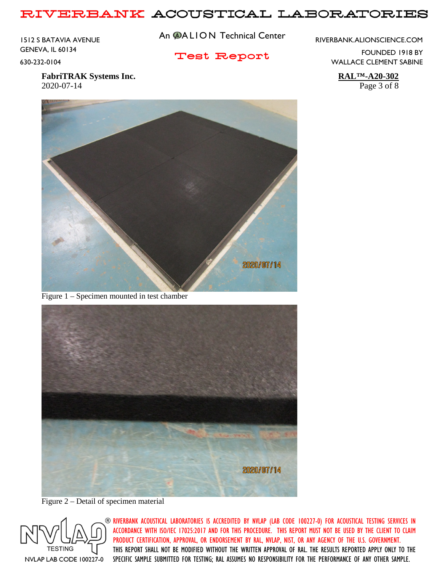1512 S BATAVIA AVENUE GENEVA, IL 60134 630-232-0104

An **@ALION** Technical Center

Test Report

RIVERBANK.ALIONSCIENCE.COM

FOUNDED 1918 BY WALLACE CLEMENT SABINE

**FabriTRAK Systems Inc. RAL™-A20-302** 2020-07-14 Page 3 of 8



Figure 1 – Specimen mounted in test chamber



Figure 2 – Detail of specimen material

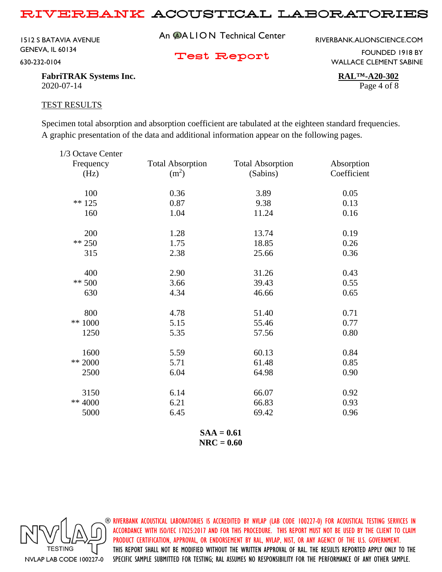1512 S BATAVIA AVENUE GENEVA, IL 60134 630-232-0104

An **@ALION** Technical Center

RIVERBANK.ALIONSCIENCE.COM

Test Report

FOUNDED 1918 BY WALLACE CLEMENT SABINE

**FabriTRAK Systems Inc. RAL™-A20-302** 2020-07-14 Page 4 of 8

#### TEST RESULTS

Specimen total absorption and absorption coefficient are tabulated at the eighteen standard frequencies. A graphic presentation of the data and additional information appear on the following pages.

| 1/3 Octave Center |                         |                         |             |
|-------------------|-------------------------|-------------------------|-------------|
| Frequency         | <b>Total Absorption</b> | <b>Total Absorption</b> | Absorption  |
| (Hz)              | (m <sup>2</sup> )       | (Sabins)                | Coefficient |
| 100               | 0.36                    | 3.89                    | 0.05        |
| $** 125$          | 0.87                    | 9.38                    | 0.13        |
| 160               | 1.04                    | 11.24                   | 0.16        |
| 200               | 1.28                    | 13.74                   | 0.19        |
| $** 250$          | 1.75                    | 18.85                   | 0.26        |
| 315               | 2.38                    | 25.66                   | 0.36        |
| 400               | 2.90                    | 31.26                   | 0.43        |
| $** 500$          | 3.66                    | 39.43                   | 0.55        |
| 630               | 4.34                    | 46.66                   | 0.65        |
| 800               | 4.78                    | 51.40                   | 0.71        |
| ** 1000           | 5.15                    | 55.46                   | 0.77        |
| 1250              | 5.35                    | 57.56                   | 0.80        |
| 1600              | 5.59                    | 60.13                   | 0.84        |
| ** 2000           | 5.71                    | 61.48                   | 0.85        |
| 2500              | 6.04                    | 64.98                   | 0.90        |
| 3150              | 6.14                    | 66.07                   | 0.92        |
| ** 4000           | 6.21                    | 66.83                   | 0.93        |
| 5000              | 6.45                    | 69.42                   | 0.96        |
|                   |                         |                         |             |

**SAA = 0.61 NRC = 0.60**

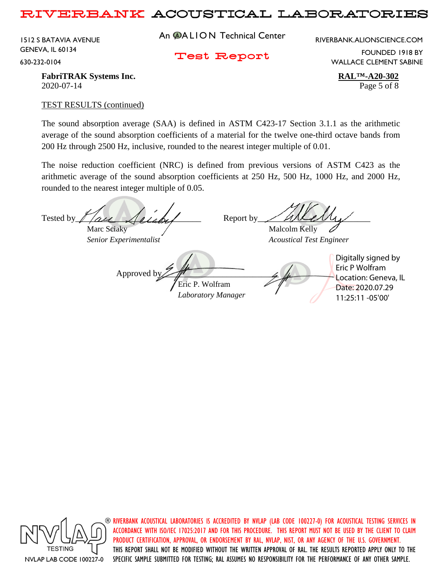1512 S BATAVIA AVENUE GENEVA, IL 60134 630-232-0104

An **@ALION** Technical Center

RIVERBANK.ALIONSCIENCE.COM

Test Report

FOUNDED 1918 BY WALLACE CLEMENT SABINE

**FabriTRAK Systems Inc. RAL™-A20-302** 2020-07-14 Page 5 of 8

### TEST RESULTS (continued)

The sound absorption average (SAA) is defined in ASTM C423-17 Section 3.1.1 as the arithmetic average of the sound absorption coefficients of a material for the twelve one-third octave bands from 200 Hz through 2500 Hz, inclusive, rounded to the nearest integer multiple of 0.01.

The noise reduction coefficient (NRC) is defined from previous versions of ASTM C423 as the arithmetic average of the sound absorption coefficients at 250 Hz, 500 Hz, 1000 Hz, and 2000 Hz, rounded to the nearest integer multiple of 0.05.

Tested by  $\ell$  are  $\ell$  and  $\ell$  Report by Marc Sciaky / Malcolm Kelly *Senior Experimentalist Acoustical Test Engineer* Approved b Eric P. Wolfram *Laboratory Manager* Digitally signed by Eric P Wolfram Location: Geneva, IL Date: 2020.07.29 11:25:11 -05'00'



 $\circledast$  riverbank acoustical laboratories is accredited by nylap (lab code 100227-0) for acoustical testing services in ACCORDANCE WITH ISO/IEC 17025:2017 AND FOR THIS PROCEDURE. THIS REPORT MUST NOT BE USED BY THE CLIENT TO CLAIM PRODUCT CERTIFICATION, APPROVAL, OR ENDORSEMENT BY RAL, NVLAP, NIST, OR ANY AGENCY OF THE U.S. GOVERNMENT. THIS REPORT SHALL NOT BE MODIFIED WITHOUT THE WRITTEN APPROVAL OF RAL. THE RESULTS REPORTED APPLY ONLY TO THE SPECIFIC SAMPLE SUBMITTED FOR TESTING; RAL ASSUMES NO RESPONSIBILITY FOR THE PERFORMANCE OF ANY OTHER SAMPLE.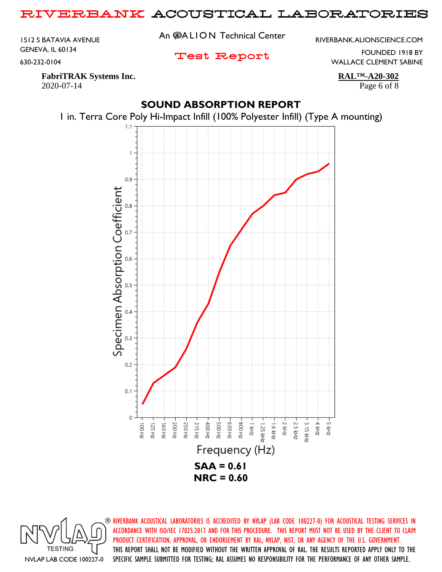1512 S BATAVIA AVENUE GENEVA, IL 60134 630-232-0104

An **@ALION** Technical Center

Test Report

RIVERBANK.ALIONSCIENCE.COM

FOUNDED 1918 BY WALLACE CLEMENT SABINE

**FabriTRAK Systems Inc. RAL™-A20-302** 2020-07-14 Page 6 of 8

# **SOUND ABSORPTION REPORT**



1 in. Terra Core Poly Hi-Impact Infill (100% Polyester Infill) (Type A mounting)

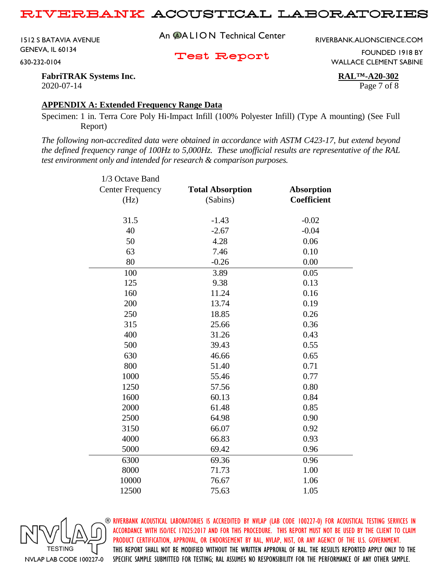1512 S BATAVIA AVENUE GENEVA, IL 60134 630-232-0104

An **@ALION** Technical Center

RIVERBANK.ALIONSCIENCE.COM

Test Report

FOUNDED 1918 BY WALLACE CLEMENT SABINE

**FabriTRAK Systems Inc. RAL™-A20-302** 2020-07-14 Page 7 of 8

### **APPENDIX A: Extended Frequency Range Data**

Specimen: 1 in. Terra Core Poly Hi-Impact Infill (100% Polyester Infill) (Type A mounting) (See Full Report)

*The following non-accredited data were obtained in accordance with ASTM C423-17, but extend beyond the defined frequency range of 100Hz to 5,000Hz. These unofficial results are representative of the RAL test environment only and intended for research & comparison purposes.* 

| 1/3 Octave Band         |                         |                    |  |
|-------------------------|-------------------------|--------------------|--|
| <b>Center Frequency</b> | <b>Total Absorption</b> | <b>Absorption</b>  |  |
| (Hz)                    | (Sabins)                | <b>Coefficient</b> |  |
|                         |                         |                    |  |
| 31.5                    | $-1.43$                 | $-0.02$            |  |
| 40                      | $-2.67$                 | $-0.04$            |  |
| 50                      | 4.28                    | 0.06               |  |
| 63                      | 7.46                    | 0.10               |  |
| 80                      | $-0.26$                 | 0.00               |  |
| 100                     | 3.89                    | 0.05               |  |
| 125                     | 9.38                    | 0.13               |  |
| 160                     | 11.24                   | 0.16               |  |
| 200                     | 13.74                   | 0.19               |  |
| 250                     | 18.85                   | 0.26               |  |
| 315                     | 25.66                   | 0.36               |  |
| 400                     | 31.26                   | 0.43               |  |
| 500                     | 39.43                   | 0.55               |  |
| 630                     | 46.66                   | 0.65               |  |
| 800                     | 51.40                   | 0.71               |  |
| 1000                    | 55.46                   | 0.77               |  |
| 1250                    | 57.56                   | 0.80               |  |
| 1600                    | 60.13                   | 0.84               |  |
| 2000                    | 61.48                   | 0.85               |  |
| 2500                    | 64.98                   | 0.90               |  |
| 3150                    | 66.07                   | 0.92               |  |
| 4000                    | 66.83                   | 0.93               |  |
| 5000                    | 69.42                   | 0.96               |  |
| 6300                    | 69.36                   | 0.96               |  |
| 8000                    | 71.73                   | 1.00               |  |
| 10000                   | 76.67                   | 1.06               |  |
| 12500                   | 75.63                   | 1.05               |  |